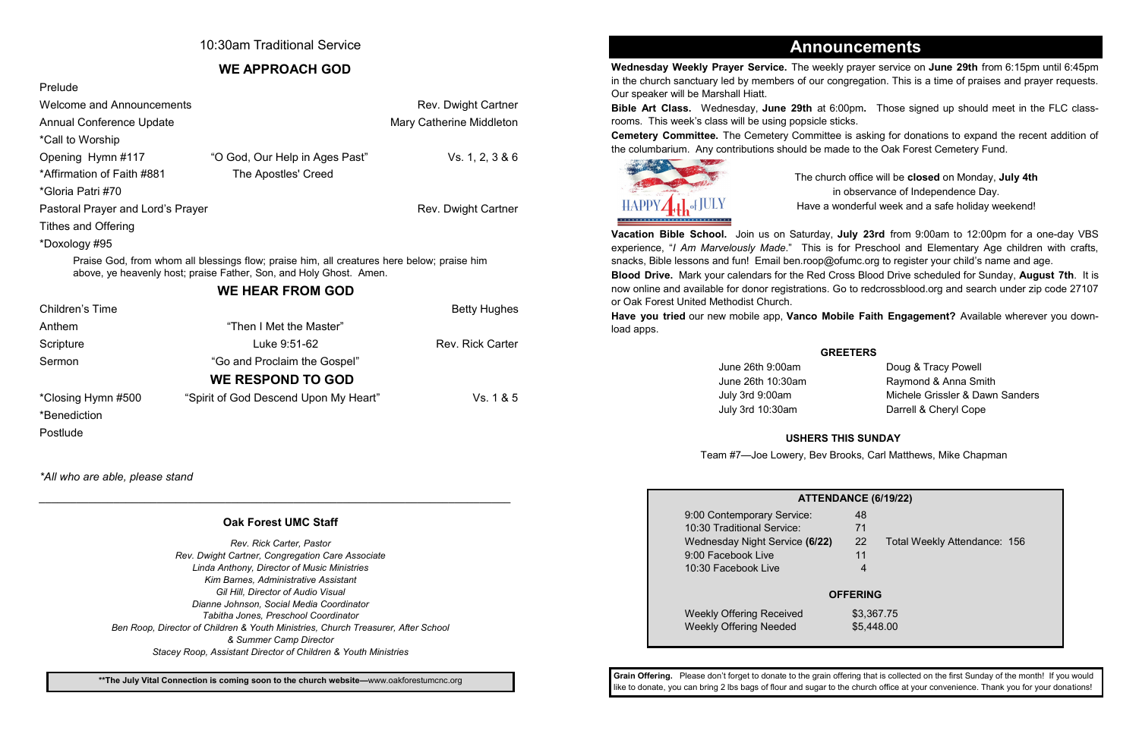## 10:30am Traditional Service

## **WE APPROACH GOD**

| Prelude                                                                                                                                                          |                                       |                         |  |  |
|------------------------------------------------------------------------------------------------------------------------------------------------------------------|---------------------------------------|-------------------------|--|--|
| <b>Welcome and Announcements</b>                                                                                                                                 | Rev. Dwight Cartner                   |                         |  |  |
| <b>Annual Conference Update</b>                                                                                                                                  | Mary Catherine Middleton              |                         |  |  |
| *Call to Worship                                                                                                                                                 |                                       |                         |  |  |
| Opening Hymn #117                                                                                                                                                | "O God, Our Help in Ages Past"        | Vs. 1, 2, 3 & 6         |  |  |
| *Affirmation of Faith #881                                                                                                                                       | The Apostles' Creed                   |                         |  |  |
| *Gloria Patri #70                                                                                                                                                |                                       |                         |  |  |
| Pastoral Prayer and Lord's Prayer                                                                                                                                | Rev. Dwight Cartner                   |                         |  |  |
| <b>Tithes and Offering</b>                                                                                                                                       |                                       |                         |  |  |
| *Doxology #95                                                                                                                                                    |                                       |                         |  |  |
| Praise God, from whom all blessings flow; praise him, all creatures here below; praise him<br>above, ye heavenly host; praise Father, Son, and Holy Ghost. Amen. |                                       |                         |  |  |
| <b>WE HEAR FROM GOD</b>                                                                                                                                          |                                       |                         |  |  |
| Children's Time                                                                                                                                                  |                                       | <b>Betty Hughes</b>     |  |  |
| Anthem                                                                                                                                                           | "Then I Met the Master"               |                         |  |  |
| Scripture                                                                                                                                                        | Luke 9:51-62                          | <b>Rev. Rick Carter</b> |  |  |
| Sermon                                                                                                                                                           | "Go and Proclaim the Gospel"          |                         |  |  |
| <b>WE RESPOND TO GOD</b>                                                                                                                                         |                                       |                         |  |  |
| *Closing Hymn #500                                                                                                                                               | "Spirit of God Descend Upon My Heart" | Vs. 1 & 5               |  |  |
| *Benediction                                                                                                                                                     |                                       |                         |  |  |
| Postlude                                                                                                                                                         |                                       |                         |  |  |

*\*All who are able, please stand*

*\_\_\_\_\_\_\_\_\_\_\_\_\_\_\_\_\_\_\_\_\_\_\_\_\_\_\_\_\_\_\_\_\_\_\_\_\_\_\_\_\_\_\_\_\_\_\_\_\_\_\_\_\_\_\_\_\_\_\_\_\_\_\_\_\_\_\_\_\_\_\_\_\_\_\_\_*

**Wednesday Weekly Prayer Service.** The weekly prayer service on **June 29th** from 6:15pm until 6:45pm in the church sanctuary led by members of our congregation. This is a time of praises and prayer requests. Our speaker will be Marshall Hiatt.

> June 26th 9:00am Doug & Tracy Powell July 3rd 10:30am Darrell & Cheryl Cope

**Bible Art Class.** Wednesday, **June 29th** at 6:00pm**.** Those signed up should meet in the FLC classrooms. This week's class will be using popsicle sticks. **Cemetery Committee.** The Cemetery Committee is asking for donations to expand the recent addition of the columbarium. Any contributions should be made to the Oak Forest Cemetery Fund.



9:00 Contemporary Service: 10:30 Traditional Service: Wednesday Night Service (6/22) 9:00 Facebook Live 10:30 Facebook Live 4

Weekly Offering Received  $$3,367.75$ Weekly Offering Needed \$5,448.00

The church office will be **closed** on Monday, **July 4th** in observance of Independence Day. Have a wonderful week and a safe holiday weekend!

**Vacation Bible School.** Join us on Saturday, **July 23rd** from 9:00am to 12:00pm for a one-day VBS experience, "*I Am Marvelously Made*." This is for Preschool and Elementary Age children with crafts, snacks, Bible lessons and fun! Email ben.roop@ofumc.org to register your child's name and age. **Blood Drive.** Mark your calendars for the Red Cross Blood Drive scheduled for Sunday, **August 7th**. It is now online and available for donor registrations. Go to redcrossblood.org and search under zip code 27107

or Oak Forest United Methodist Church. **Have you tried** our new mobile app, **Vanco Mobile Faith Engagement?** Available wherever you download apps.

# **Announcements**

### **GREETERS**

June 26th 10:30am Raymond & Anna Smith July 3rd 9:00am Michele Grissler & Dawn Sanders

### **USHERS THIS SUNDAY**

Team #7—Joe Lowery, Bev Brooks, Carl Matthews, Mike Chapman

#### **ATTEND**

| <b>NDANCE (6/19/22)</b> |    |                              |  |  |  |
|-------------------------|----|------------------------------|--|--|--|
|                         | 48 |                              |  |  |  |
|                         | 71 |                              |  |  |  |
| 2)                      | 22 | Total Weekly Attendance: 156 |  |  |  |
|                         | 11 |                              |  |  |  |
|                         |    |                              |  |  |  |
|                         |    |                              |  |  |  |
| <b>OFFERING</b>         |    |                              |  |  |  |

### **Oak Forest UMC Staff**

*Rev. Rick Carter, Pastor Rev. Dwight Cartner, Congregation Care Associate Linda Anthony, Director of Music Ministries Kim Barnes, Administrative Assistant Gil Hill, Director of Audio Visual Dianne Johnson, Social Media Coordinator Tabitha Jones, Preschool Coordinator Ben Roop, Director of Children & Youth Ministries, Church Treasurer, After School & Summer Camp Director Stacey Roop, Assistant Director of Children & Youth Ministries*

> **Grain Offering.** Please don't forget to donate to the grain offering that is collected on the first Sunday of the month! If you would like to donate, you can bring 2 lbs bags of flour and sugar to the church office at your convenience. Thank you for your donations!

**\*\*The July Vital Connection is coming soon to the church website—**www.oakforestumcnc.org